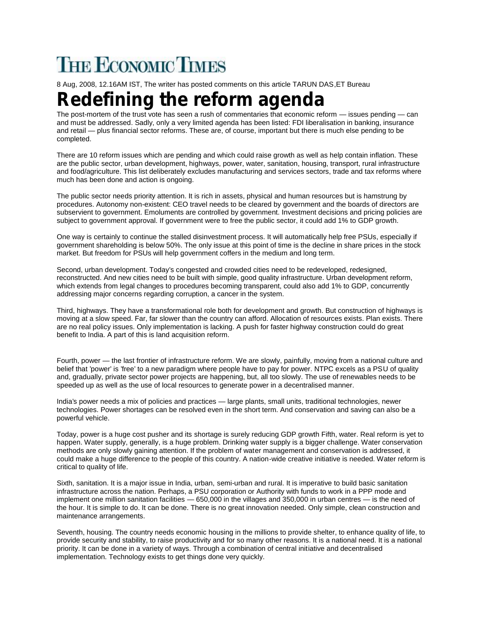## **THE ECONOMIC TIMES**

8 Aug, 2008, 12.16AM IST, The writer has posted comments on this article TARUN DAS,ET Bureau

## **Redefining the reform agenda**

The post-mortem of the trust vote has seen a rush of commentaries that economic reform — issues pending — can and must be addressed. Sadly, only a very limited agenda has been listed: FDI liberalisation in banking, insurance and retail — plus financial sector reforms. These are, of course, important but there is much else pending to be completed.

There are 10 reform issues which are pending and which could raise growth as well as help contain inflation. These are the public sector, urban development, highways, power, water, sanitation, housing, transport, rural infrastructure and food/agriculture. This list deliberately excludes manufacturing and services sectors, trade and tax reforms where much has been done and action is ongoing.

The public sector needs priority attention. It is rich in assets, physical and human resources but is hamstrung by procedures. Autonomy non-existent: CEO travel needs to be cleared by government and the boards of directors are subservient to government. Emoluments are controlled by government. Investment decisions and pricing policies are subject to government approval. If government were to free the public sector, it could add 1% to GDP growth.

One way is certainly to continue the stalled disinvestment process. It will automatically help free PSUs, especially if government shareholding is below 50%. The only issue at this point of time is the decline in share prices in the stock market. But freedom for PSUs will help government coffers in the medium and long term.

Second, urban development. Today's congested and crowded cities need to be redeveloped, redesigned, reconstructed. And new cities need to be built with simple, good quality infrastructure. Urban development reform, which extends from legal changes to procedures becoming transparent, could also add 1% to GDP, concurrently addressing major concerns regarding corruption, a cancer in the system.

Third, highways. They have a transformational role both for development and growth. But construction of highways is moving at a slow speed. Far, far slower than the country can afford. Allocation of resources exists. Plan exists. There are no real policy issues. Only implementation is lacking. A push for faster highway construction could do great benefit to India. A part of this is land acquisition reform.

Fourth, power — the last frontier of infrastructure reform. We are slowly, painfully, moving from a national culture and belief that 'power' is 'free' to a new paradigm where people have to pay for power. NTPC excels as a PSU of quality and, gradually, private sector power projects are happening, but, all too slowly. The use of renewables needs to be speeded up as well as the use of local resources to generate power in a decentralised manner.

India's power needs a mix of policies and practices — large plants, small units, traditional technologies, newer technologies. Power shortages can be resolved even in the short term. And conservation and saving can also be a powerful vehicle.

Today, power is a huge cost pusher and its shortage is surely reducing GDP growth Fifth, water. Real reform is yet to happen. Water supply, generally, is a huge problem. Drinking water supply is a bigger challenge. Water conservation methods are only slowly gaining attention. If the problem of water management and conservation is addressed, it could make a huge difference to the people of this country. A nation-wide creative initiative is needed. Water reform is critical to quality of life.

Sixth, sanitation. It is a major issue in India, urban, semi-urban and rural. It is imperative to build basic sanitation infrastructure across the nation. Perhaps, a PSU corporation or Authority with funds to work in a PPP mode and implement one million sanitation facilities — 650,000 in the villages and 350,000 in urban centres — is the need of the hour. It is simple to do. It can be done. There is no great innovation needed. Only simple, clean construction and maintenance arrangements.

Seventh, housing. The country needs economic housing in the millions to provide shelter, to enhance quality of life, to provide security and stability, to raise productivity and for so many other reasons. It is a national need. It is a national priority. It can be done in a variety of ways. Through a combination of central initiative and decentralised implementation. Technology exists to get things done very quickly.